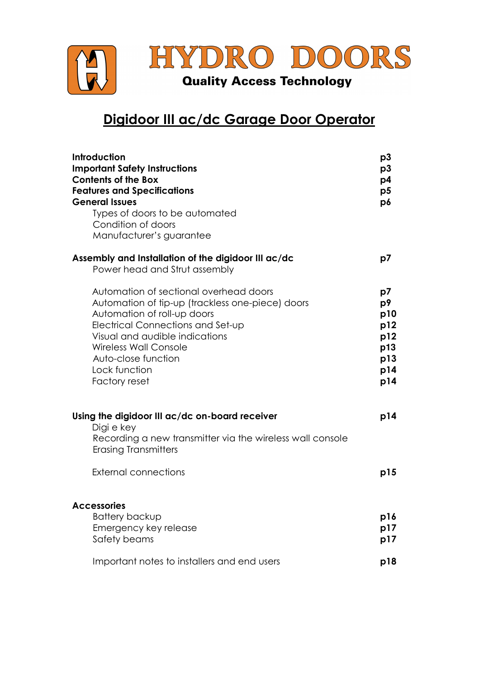

## Digidoor III ac/dc Garage Door Operator

| Introduction<br><b>Important Safety Instructions</b><br><b>Contents of the Box</b><br><b>Features and Specifications</b><br><b>General Issues</b><br>Types of doors to be automated<br>Condition of doors<br>Manufacturer's guarantee                                                     | p3<br>p3<br>p4<br>p5<br>p6                                |
|-------------------------------------------------------------------------------------------------------------------------------------------------------------------------------------------------------------------------------------------------------------------------------------------|-----------------------------------------------------------|
| Assembly and Installation of the digidoor III ac/dc<br>Power head and Strut assembly                                                                                                                                                                                                      | p7                                                        |
| Automation of sectional overhead doors<br>Automation of tip-up (trackless one-piece) doors<br>Automation of roll-up doors<br>Electrical Connections and Set-up<br>Visual and audible indications<br><b>Wireless Wall Console</b><br>Auto-close function<br>Lock function<br>Factory reset | p7<br>p9<br>p10<br>p12<br>p12<br>p13<br>p13<br>p14<br>p14 |
| Using the digidoor III ac/dc on-board receiver<br>Digi e key<br>Recording a new transmitter via the wireless wall console<br><b>Erasing Transmitters</b>                                                                                                                                  | p14                                                       |
| External connections                                                                                                                                                                                                                                                                      | p15                                                       |
| <b>Accessories</b><br><b>Battery backup</b><br>Emergency key release<br>Safety beams                                                                                                                                                                                                      | p16<br>p17<br>p17                                         |
| Important notes to installers and end users                                                                                                                                                                                                                                               | p18                                                       |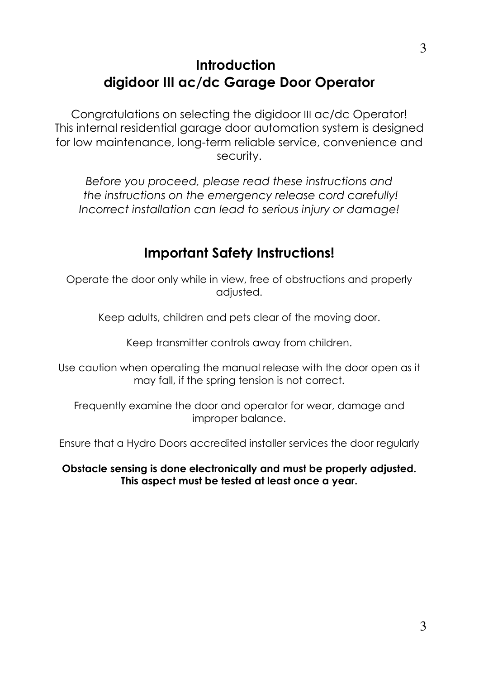# Introduction digidoor III ac/dc Garage Door Operator

Congratulations on selecting the digidoor III ac/dc Operator! This internal residential garage door automation system is designed for low maintenance, long-term reliable service, convenience and security.

Before you proceed, please read these instructions and the instructions on the emergency release cord carefully! Incorrect installation can lead to serious injury or damage!

# Important Safety Instructions!

Operate the door only while in view, free of obstructions and properly adjusted.

Keep adults, children and pets clear of the moving door.

Keep transmitter controls away from children.

Use caution when operating the manual release with the door open as it may fall, if the spring tension is not correct.

Frequently examine the door and operator for wear, damage and improper balance.

Ensure that a Hydro Doors accredited installer services the door regularly

Obstacle sensing is done electronically and must be properly adjusted. This aspect must be tested at least once a year.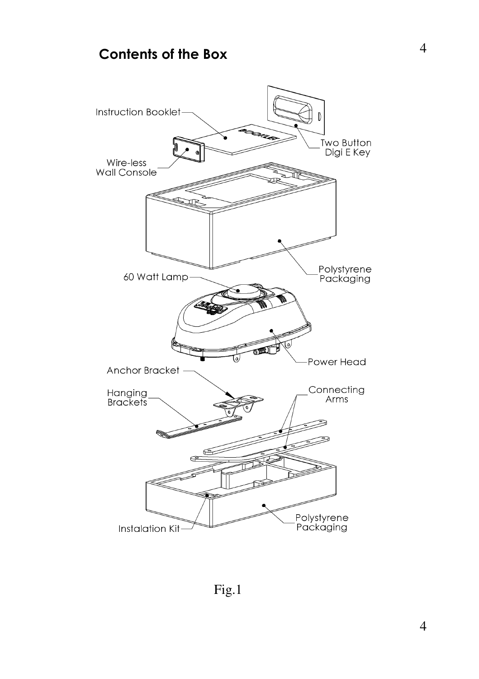# Contents of the Box

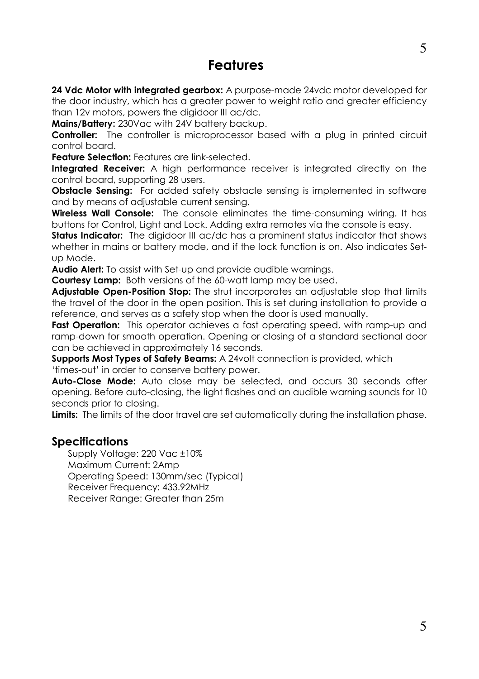### Features

24 Vdc Motor with integrated gearbox: A purpose-made 24vdc motor developed for the door industry, which has a greater power to weight ratio and greater efficiency than 12v motors, powers the digidoor III ac/dc.

Mains/Battery: 230Vac with 24V battery backup.

Controller: The controller is microprocessor based with a plug in printed circuit control board.

**Feature Selection:** Features are link-selected.

Integrated Receiver: A high performance receiver is integrated directly on the control board, supporting 28 users.

**Obstacle Sensing:** For added safety obstacle sensing is implemented in software and by means of adjustable current sensing.

Wireless Wall Console: The console eliminates the time-consuming wiring. It has buttons for Control, Light and Lock. Adding extra remotes via the console is easy.

Status Indicator: The digidoor III ac/dc has a prominent status indicator that shows whether in mains or battery mode, and if the lock function is on. Also indicates Setup Mode.

Audio Alert: To assist with Set-up and provide audible warnings.

Courtesy Lamp: Both versions of the 60-watt lamp may be used.

Adjustable Open-Position Stop: The strut incorporates an adjustable stop that limits the travel of the door in the open position. This is set during installation to provide a reference, and serves as a safety stop when the door is used manually.

Fast Operation: This operator achieves a fast operating speed, with ramp-up and ramp-down for smooth operation. Opening or closing of a standard sectional door can be achieved in approximately 16 seconds.

Supports Most Types of Safety Beams: A 24volt connection is provided, which 'times-out' in order to conserve battery power.

Auto-Close Mode: Auto close may be selected, and occurs 30 seconds after opening. Before auto-closing, the light flashes and an audible warning sounds for 10 seconds prior to closing.

Limits: The limits of the door travel are set automatically during the installation phase.

### **Specifications**

Supply Voltage: 220 Vac ±10% Maximum Current: 2Amp Operating Speed: 130mm/sec (Typical) Receiver Frequency: 433.92MHz Receiver Range: Greater than 25m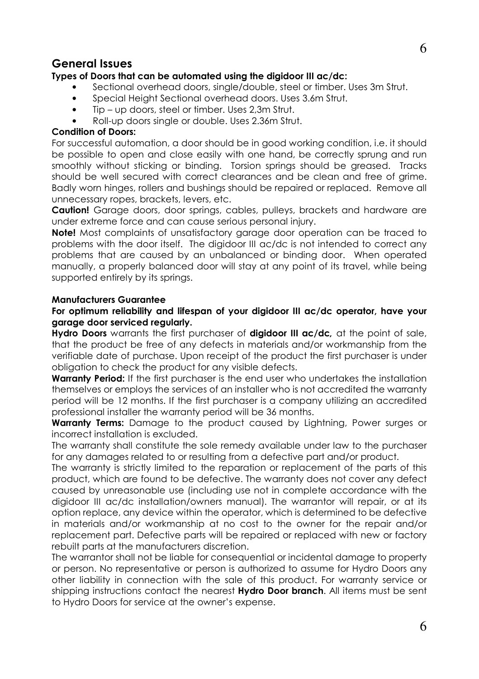### General Issues

#### Types of Doors that can be automated using the digidoor III ac/dc:

- Sectional overhead doors, single/double, steel or timber. Uses 3m Strut.
- Special Height Sectional overhead doors. Uses 3.6m Strut.
- Tip up doors, steel or timber. Uses 2,3m Strut.
- Roll-up doors single or double. Uses 2.36m Strut.

#### Condition of Doors:

For successful automation, a door should be in good working condition, i.e. it should be possible to open and close easily with one hand, be correctly sprung and run smoothly without sticking or binding. Torsion springs should be greased. Tracks should be well secured with correct clearances and be clean and free of grime. Badly worn hinges, rollers and bushings should be repaired or replaced. Remove all unnecessary ropes, brackets, levers, etc.

**Caution!** Garage doors, door springs, cables, pulleys, brackets and hardware are under extreme force and can cause serious personal injury.

Note! Most complaints of unsatisfactory garage door operation can be traced to problems with the door itself. The digidoor III ac/dc is not intended to correct any problems that are caused by an unbalanced or binding door. When operated manually, a properly balanced door will stay at any point of its travel, while being supported entirely by its springs.

#### Manufacturers Guarantee

#### For optimum reliability and lifespan of your digidoor III ac/dc operator, have your garage door serviced regularly.

Hydro Doors warrants the first purchaser of digidoor III ac/dc, at the point of sale, that the product be free of any defects in materials and/or workmanship from the verifiable date of purchase. Upon receipt of the product the first purchaser is under obligation to check the product for any visible defects.

**Warranty Period:** If the first purchaser is the end user who undertakes the installation themselves or employs the services of an installer who is not accredited the warranty period will be 12 months. If the first purchaser is a company utilizing an accredited professional installer the warranty period will be 36 months.

**Warranty Terms:** Damage to the product caused by Lightning, Power surges or incorrect installation is excluded.

The warranty shall constitute the sole remedy available under law to the purchaser for any damages related to or resulting from a defective part and/or product.

The warranty is strictly limited to the reparation or replacement of the parts of this product, which are found to be defective. The warranty does not cover any defect caused by unreasonable use (including use not in complete accordance with the digidoor III ac/dc installation/owners manual). The warrantor will repair, or at its option replace, any device within the operator, which is determined to be defective in materials and/or workmanship at no cost to the owner for the repair and/or replacement part. Defective parts will be repaired or replaced with new or factory rebuilt parts at the manufacturers discretion.

The warrantor shall not be liable for consequential or incidental damage to property or person. No representative or person is authorized to assume for Hydro Doors any other liability in connection with the sale of this product. For warranty service or shipping instructions contact the nearest Hydro Door branch. All items must be sent to Hydro Doors for service at the owner's expense.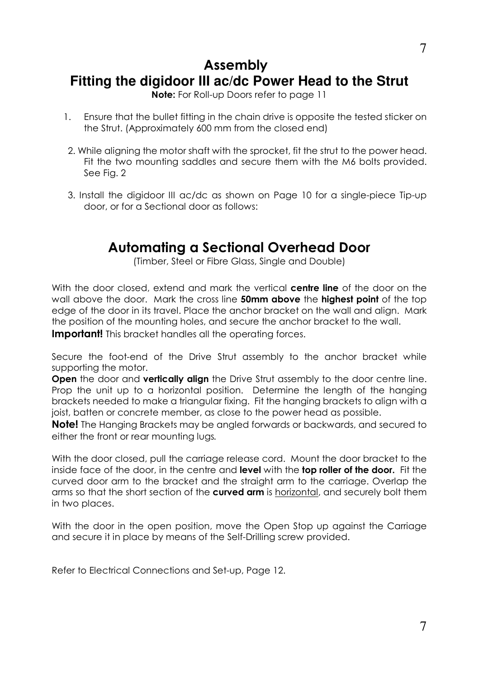## Assembly **Fitting the digidoor III ac/dc Power Head to the Strut**

Note: For Roll-up Doors refer to page 11

- 1. Ensure that the bullet fitting in the chain drive is opposite the tested sticker on the Strut. (Approximately 600 mm from the closed end)
- 2. While aligning the motor shaft with the sprocket, fit the strut to the power head. Fit the two mounting saddles and secure them with the M6 bolts provided. See Fig. 2
- 3. Install the digidoor III ac/dc as shown on Page 10 for a single-piece Tip-up door, or for a Sectional door as follows:

## Automating a Sectional Overhead Door

(Timber, Steel or Fibre Glass, Single and Double)

With the door closed, extend and mark the vertical centre line of the door on the wall above the door. Mark the cross line 50mm above the highest point of the top edge of the door in its travel. Place the anchor bracket on the wall and align. Mark the position of the mounting holes, and secure the anchor bracket to the wall. **Important!** This bracket handles all the operating forces.

Secure the foot-end of the Drive Strut assembly to the anchor bracket while supporting the motor.

Open the door and vertically align the Drive Strut assembly to the door centre line. Prop the unit up to a horizontal position. Determine the length of the hanging brackets needed to make a triangular fixing. Fit the hanging brackets to align with a joist, batten or concrete member, as close to the power head as possible.

**Note!** The Hanging Brackets may be angled forwards or backwards, and secured to either the front or rear mounting lugs.

With the door closed, pull the carriage release cord. Mount the door bracket to the inside face of the door, in the centre and level with the top roller of the door. Fit the curved door arm to the bracket and the straight arm to the carriage. Overlap the arms so that the short section of the **curved arm** is horizontal, and securely bolt them in two places.

With the door in the open position, move the Open Stop up against the Carriage and secure it in place by means of the Self-Drilling screw provided.

Refer to Electrical Connections and Set-up, Page 12.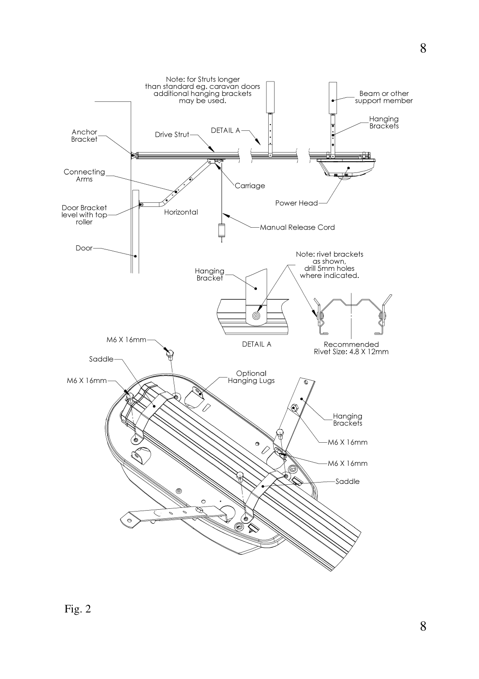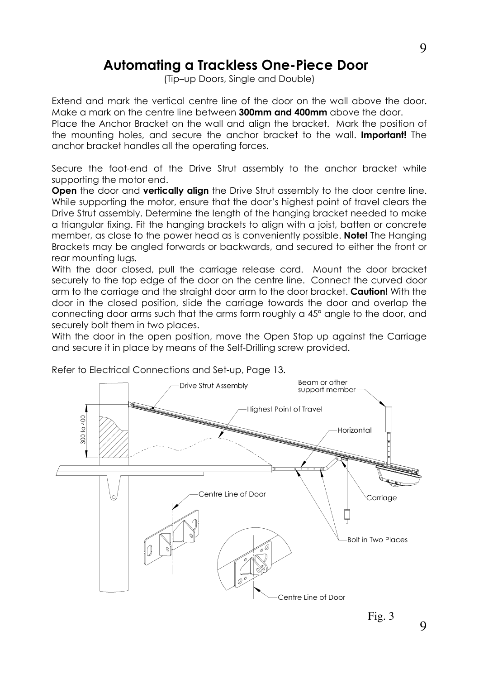## Automating a Trackless One-Piece Door

(Tip–up Doors, Single and Double)

Extend and mark the vertical centre line of the door on the wall above the door. Make a mark on the centre line between **300mm and 400mm** above the door.

Place the Anchor Bracket on the wall and align the bracket. Mark the position of the mounting holes, and secure the anchor bracket to the wall. **Important!** The anchor bracket handles all the operating forces.

Secure the foot-end of the Drive Strut assembly to the anchor bracket while supporting the motor end.

Open the door and vertically align the Drive Strut assembly to the door centre line. While supporting the motor, ensure that the door's highest point of travel clears the Drive Strut assembly. Determine the length of the hanging bracket needed to make a triangular fixing. Fit the hanging brackets to align with a joist, batten or concrete member, as close to the power head as is conveniently possible. **Note!** The Hanging Brackets may be angled forwards or backwards, and secured to either the front or rear mounting lugs.

With the door closed, pull the carriage release cord. Mount the door bracket securely to the top edge of the door on the centre line. Connect the curved door arm to the carriage and the straight door arm to the door bracket. Caution! With the door in the closed position, slide the carriage towards the door and overlap the connecting door arms such that the arms form roughly a 45° angle to the door, and securely bolt them in two places.

With the door in the open position, move the Open Stop up against the Carriage and secure it in place by means of the Self-Drilling screw provided.



Refer to Electrical Connections and Set-up, Page 13.

9

Fig. 3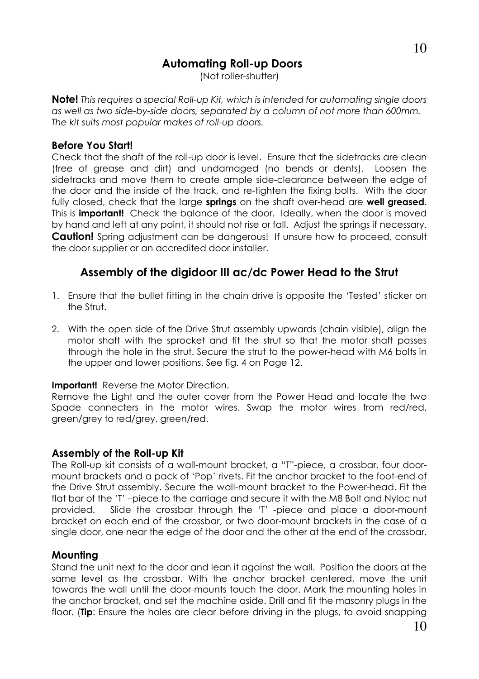## Automating Roll-up Doors

(Not roller-shutter)

Note! This requires a special Roll-up Kit, which is intended for automating single doors as well as two side-by-side doors, separated by a column of not more than 600mm. The kit suits most popular makes of roll-up doors.

### Before You Start!

Check that the shaft of the roll-up door is level. Ensure that the sidetracks are clean (free of grease and dirt) and undamaged (no bends or dents). Loosen the sidetracks and move them to create ample side-clearance between the edge of the door and the inside of the track, and re-tighten the fixing bolts. With the door fully closed, check that the large springs on the shaft over-head are well greased. This is **important!** Check the balance of the door. Ideally, when the door is moved by hand and left at any point, it should not rise or fall. Adjust the springs if necessary. **Caution!** Spring adjustment can be dangerous! If unsure how to proceed, consult the door supplier or an accredited door installer.

### Assembly of the digidoor III ac/dc Power Head to the Strut

- 1. Ensure that the bullet fitting in the chain drive is opposite the 'Tested' sticker on the Strut.
- 2. With the open side of the Drive Strut assembly upwards (chain visible), align the motor shaft with the sprocket and fit the strut so that the motor shaft passes through the hole in the strut. Secure the strut to the power-head with M6 bolts in the upper and lower positions. See fig. 4 on Page 12.

### **Important!** Reverse the Motor Direction.

Remove the Light and the outer cover from the Power Head and locate the two Spade connecters in the motor wires. Swap the motor wires from red/red, green/grey to red/grey, green/red.

### Assembly of the Roll-up Kit

The Roll-up kit consists of a wall-mount bracket, a "T"-piece, a crossbar, four doormount brackets and a pack of 'Pop' rivets. Fit the anchor bracket to the foot-end of the Drive Strut assembly. Secure the wall-mount bracket to the Power-head. Fit the flat bar of the 'T' –piece to the carriage and secure it with the M8 Bolt and Nyloc nut provided. Slide the crossbar through the 'T' -piece and place a door-mount bracket on each end of the crossbar, or two door-mount brackets in the case of a single door, one near the edge of the door and the other at the end of the crossbar.

### **Mounting**

Stand the unit next to the door and lean it against the wall. Position the doors at the same level as the crossbar. With the anchor bracket centered, move the unit towards the wall until the door-mounts touch the door. Mark the mounting holes in the anchor bracket, and set the machine aside. Drill and fit the masonry plugs in the floor. (Tip: Ensure the holes are clear before driving in the plugs, to avoid snapping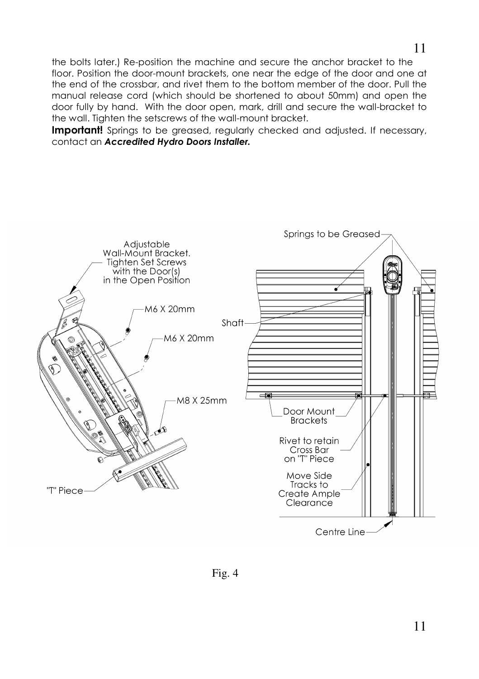the bolts later.) Re-position the machine and secure the anchor bracket to the floor. Position the door-mount brackets, one near the edge of the door and one at the end of the crossbar, and rivet them to the bottom member of the door. Pull the manual release cord (which should be shortened to about 50mm) and open the door fully by hand. With the door open, mark, drill and secure the wall-bracket to the wall. Tighten the setscrews of the wall-mount bracket.

**Important!** Springs to be greased, regularly checked and adjusted. If necessary, contact an Accredited Hydro Doors Installer.



Fig. 4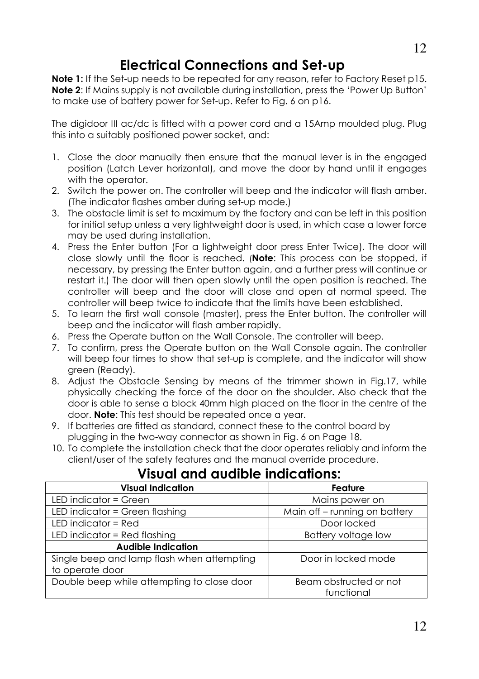# Electrical Connections and Set-up

Note 1: If the Set-up needs to be repeated for any reason, refer to Factory Reset p15. Note 2: If Mains supply is not available during installation, press the 'Power Up Button' to make use of battery power for Set-up. Refer to Fig. 6 on p16.

The digidoor III ac/dc is fitted with a power cord and a 15Amp moulded plug. Plug this into a suitably positioned power socket, and:

- 1. Close the door manually then ensure that the manual lever is in the engaged position (Latch Lever horizontal), and move the door by hand until it engages with the operator.
- 2. Switch the power on. The controller will beep and the indicator will flash amber. (The indicator flashes amber during set-up mode.)
- 3. The obstacle limit is set to maximum by the factory and can be left in this position for initial setup unless a very lightweight door is used, in which case a lower force may be used during installation.
- 4. Press the Enter button (For a lightweight door press Enter Twice). The door will close slowly until the floor is reached. (Note: This process can be stopped, if necessary, by pressing the Enter button again, and a further press will continue or restart it.) The door will then open slowly until the open position is reached. The controller will beep and the door will close and open at normal speed. The controller will beep twice to indicate that the limits have been established.
- 5. To learn the first wall console (master), press the Enter button. The controller will beep and the indicator will flash amber rapidly.
- 6. Press the Operate button on the Wall Console. The controller will beep.
- 7. To confirm, press the Operate button on the Wall Console again. The controller will beep four times to show that set-up is complete, and the indicator will show green (Ready).
- 8. Adjust the Obstacle Sensing by means of the trimmer shown in Fig.17, while physically checking the force of the door on the shoulder. Also check that the door is able to sense a block 40mm high placed on the floor in the centre of the door. **Note**: This test should be repeated once a year.
- 9. If batteries are fitted as standard, connect these to the control board by plugging in the two-way connector as shown in Fig. 6 on Page 18.
- 10. To complete the installation check that the door operates reliably and inform the client/user of the safety features and the manual override procedure.

| <b>Visual Indication</b>                   | Feature                       |  |
|--------------------------------------------|-------------------------------|--|
| LED indicator = Green                      | Mains power on                |  |
| LED indicator = Green flashing             | Main off – running on battery |  |
| LED indicator = Red                        | Door locked                   |  |
| LED indicator = Red flashing               | Battery voltage low           |  |
| <b>Audible Indication</b>                  |                               |  |
| Single beep and lamp flash when attempting | Door in locked mode           |  |
| to operate door                            |                               |  |
| Double beep while attempting to close door | Beam obstructed or not        |  |
|                                            | functional                    |  |

## Visual and audible indications:

12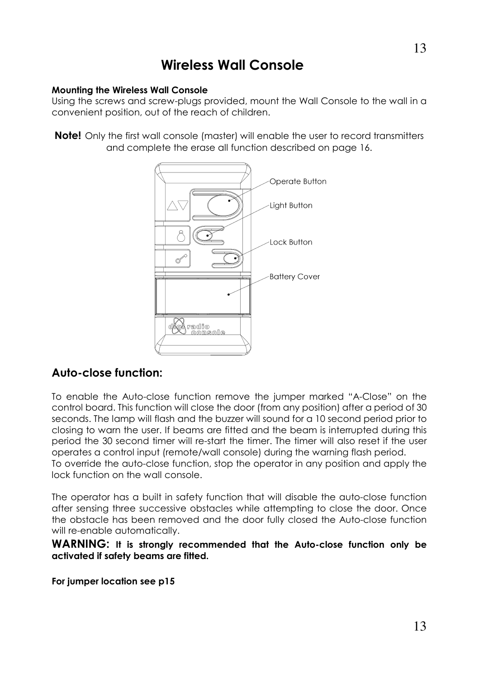## Wireless Wall Console

#### Mounting the Wireless Wall Console

Using the screws and screw-plugs provided, mount the Wall Console to the wall in a convenient position, out of the reach of children.

**Note!** Only the first wall console (master) will enable the user to record transmitters and complete the erase all function described on page 16.



### Auto-close function:

To enable the Auto-close function remove the jumper marked "A-Close" on the control board. This function will close the door (from any position) after a period of 30 seconds. The lamp will flash and the buzzer will sound for a 10 second period prior to closing to warn the user. If beams are fitted and the beam is interrupted during this period the 30 second timer will re-start the timer. The timer will also reset if the user operates a control input (remote/wall console) during the warning flash period. To override the auto-close function, stop the operator in any position and apply the

lock function on the wall console.

The operator has a built in safety function that will disable the auto-close function after sensing three successive obstacles while attempting to close the door. Once the obstacle has been removed and the door fully closed the Auto-close function will re-enable automatically.

WARNING: It is strongly recommended that the Auto-close function only be activated if safety beams are fitted.

For jumper location see p15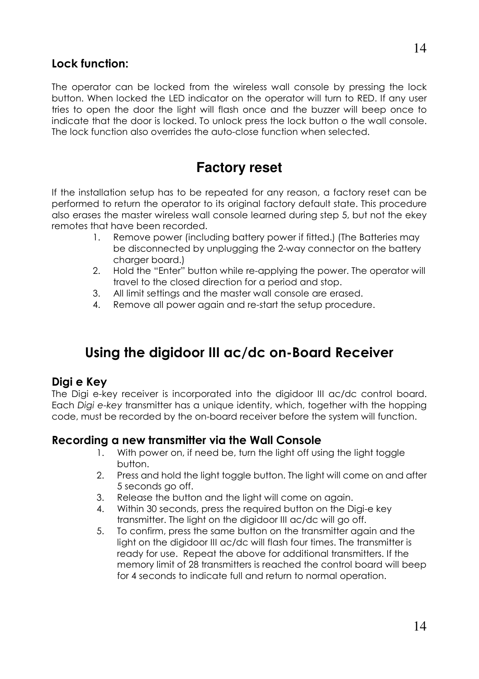### Lock function:

The operator can be locked from the wireless wall console by pressing the lock button. When locked the LED indicator on the operator will turn to RED. If any user tries to open the door the light will flash once and the buzzer will beep once to indicate that the door is locked. To unlock press the lock button o the wall console. The lock function also overrides the auto-close function when selected.

## **Factory reset**

If the installation setup has to be repeated for any reason, a factory reset can be performed to return the operator to its original factory default state. This procedure also erases the master wireless wall console learned during step 5, but not the ekey remotes that have been recorded.

- 1. Remove power (including battery power if fitted.) (The Batteries may be disconnected by unplugging the 2-way connector on the battery charger board.)
- 2. Hold the "Enter" button while re-applying the power. The operator will travel to the closed direction for a period and stop.
- 3. All limit settings and the master wall console are erased.
- 4. Remove all power again and re-start the setup procedure.

# Using the digidoor III ac/dc on-Board Receiver

### Digi e Key

The Digi e-key receiver is incorporated into the digidoor III ac/dc control board. Each Digi e-key transmitter has a unique identity, which, together with the hopping code, must be recorded by the on-board receiver before the system will function.

### Recording a new transmitter via the Wall Console

- 1. With power on, if need be, turn the light off using the light toggle button.
- 2. Press and hold the light toggle button. The light will come on and after 5 seconds go off.
- 3. Release the button and the light will come on again.
- 4. Within 30 seconds, press the required button on the Digi-e key transmitter. The light on the digidoor III ac/dc will go off.
- 5. To confirm, press the same button on the transmitter again and the light on the digidoor III ac/dc will flash four times. The transmitter is ready for use. Repeat the above for additional transmitters. If the memory limit of 28 transmitters is reached the control board will beep for 4 seconds to indicate full and return to normal operation.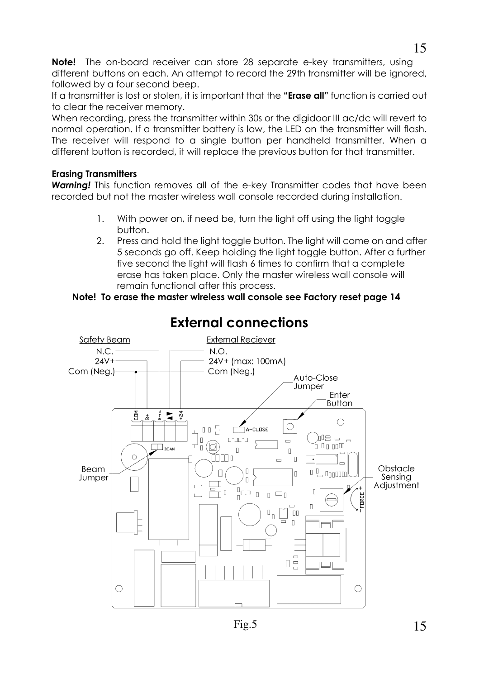Note! The on-board receiver can store 28 separate e-key transmitters, using different buttons on each. An attempt to record the 29th transmitter will be ignored, followed by a four second beep.

If a transmitter is lost or stolen, it is important that the "Erase all" function is carried out to clear the receiver memory.

When recording, press the transmitter within 30s or the digidoor III ac/dc will revert to normal operation. If a transmitter battery is low, the LED on the transmitter will flash. The receiver will respond to a single button per handheld transmitter. When a different button is recorded, it will replace the previous button for that transmitter.

### Erasing Transmitters

**Warning!** This function removes all of the e-key Transmitter codes that have been recorded but not the master wireless wall console recorded during installation.

- 1. With power on, if need be, turn the light off using the light toggle button.
- 2. Press and hold the light toggle button. The light will come on and after 5 seconds go off. Keep holding the light toggle button. After a further five second the light will flash 6 times to confirm that a complete erase has taken place. Only the master wireless wall console will remain functional after this process.

### Note! To erase the master wireless wall console see Factory reset page 14



External connections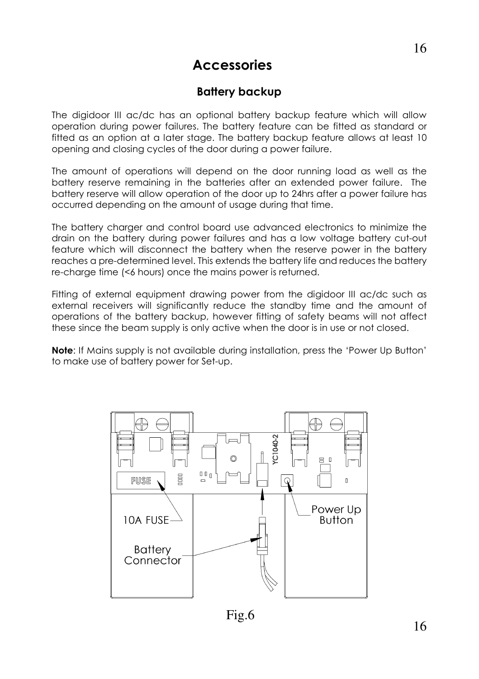## **Accessories**

### Battery backup

The digidoor III ac/dc has an optional battery backup feature which will allow operation during power failures. The battery feature can be fitted as standard or fitted as an option at a later stage. The battery backup feature allows at least 10 opening and closing cycles of the door during a power failure.

The amount of operations will depend on the door running load as well as the battery reserve remaining in the batteries after an extended power failure. The battery reserve will allow operation of the door up to 24hrs after a power failure has occurred depending on the amount of usage during that time.

The battery charger and control board use advanced electronics to minimize the drain on the battery during power failures and has a low voltage battery cut-out feature which will disconnect the battery when the reserve power in the battery reaches a pre-determined level. This extends the battery life and reduces the battery re-charge time (<6 hours) once the mains power is returned.

Fitting of external equipment drawing power from the digidoor III ac/dc such as external receivers will significantly reduce the standby time and the amount of operations of the battery backup, however fitting of safety beams will not affect these since the beam supply is only active when the door is in use or not closed.

Note: If Mains supply is not available during installation, press the 'Power Up Button' to make use of battery power for Set-up.



Fig.6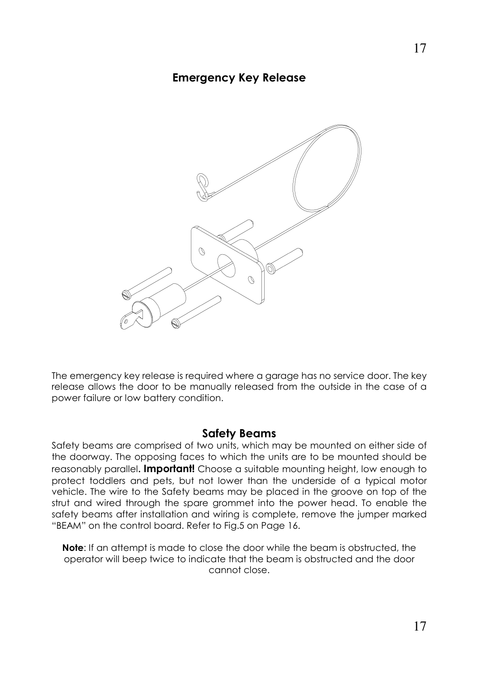### Emergency Key Release



The emergency key release is required where a garage has no service door. The key release allows the door to be manually released from the outside in the case of a power failure or low battery condition.

#### Safety Beams

Safety beams are comprised of two units, which may be mounted on either side of the doorway. The opposing faces to which the units are to be mounted should be reasonably parallel. **Important!** Choose a suitable mounting height, low enough to protect toddlers and pets, but not lower than the underside of a typical motor vehicle. The wire to the Safety beams may be placed in the groove on top of the strut and wired through the spare grommet into the power head. To enable the safety beams after installation and wiring is complete, remove the jumper marked "BEAM" on the control board. Refer to Fig.5 on Page 16.

Note: If an attempt is made to close the door while the beam is obstructed, the operator will beep twice to indicate that the beam is obstructed and the door cannot close.